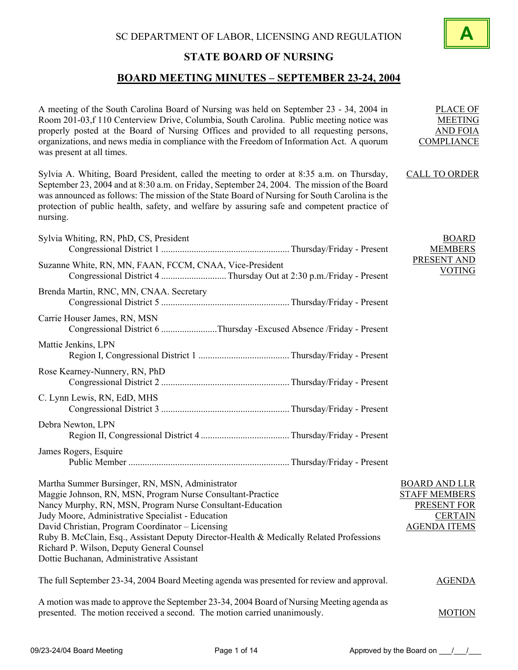

# **BOARD MEETING MINUTES – SEPTEMBER 23-24, 2004**

| A meeting of the South Carolina Board of Nursing was held on September 23 - 34, 2004 in<br>Room 201-03,f 110 Centerview Drive, Columbia, South Carolina. Public meeting notice was<br>properly posted at the Board of Nursing Offices and provided to all requesting persons,<br>organizations, and news media in compliance with the Freedom of Information Act. A quorum<br>was present at all times.                                                                  | <b>PLACE OF</b><br><b>MEETING</b><br><b>AND FOIA</b><br><b>COMPLIANCE</b>                                   |
|--------------------------------------------------------------------------------------------------------------------------------------------------------------------------------------------------------------------------------------------------------------------------------------------------------------------------------------------------------------------------------------------------------------------------------------------------------------------------|-------------------------------------------------------------------------------------------------------------|
| Sylvia A. Whiting, Board President, called the meeting to order at 8:35 a.m. on Thursday,<br>September 23, 2004 and at 8:30 a.m. on Friday, September 24, 2004. The mission of the Board<br>was announced as follows: The mission of the State Board of Nursing for South Carolina is the<br>protection of public health, safety, and welfare by assuring safe and competent practice of<br>nursing.                                                                     | <b>CALL TO ORDER</b>                                                                                        |
| Sylvia Whiting, RN, PhD, CS, President                                                                                                                                                                                                                                                                                                                                                                                                                                   | <b>BOARD</b><br><b>MEMBERS</b>                                                                              |
| Suzanne White, RN, MN, FAAN, FCCM, CNAA, Vice-President                                                                                                                                                                                                                                                                                                                                                                                                                  | PRESENT AND<br><b>VOTING</b>                                                                                |
| Brenda Martin, RNC, MN, CNAA. Secretary                                                                                                                                                                                                                                                                                                                                                                                                                                  |                                                                                                             |
| Carrie Houser James, RN, MSN<br>Congressional District 6 Thursday -Excused Absence /Friday - Present                                                                                                                                                                                                                                                                                                                                                                     |                                                                                                             |
| Mattie Jenkins, LPN                                                                                                                                                                                                                                                                                                                                                                                                                                                      |                                                                                                             |
| Rose Kearney-Nunnery, RN, PhD                                                                                                                                                                                                                                                                                                                                                                                                                                            |                                                                                                             |
| C. Lynn Lewis, RN, EdD, MHS                                                                                                                                                                                                                                                                                                                                                                                                                                              |                                                                                                             |
| Debra Newton, LPN                                                                                                                                                                                                                                                                                                                                                                                                                                                        |                                                                                                             |
| James Rogers, Esquire                                                                                                                                                                                                                                                                                                                                                                                                                                                    |                                                                                                             |
| Martha Summer Bursinger, RN, MSN, Administrator<br>Maggie Johnson, RN, MSN, Program Nurse Consultant-Practice<br>Nancy Murphy, RN, MSN, Program Nurse Consultant-Education<br>Judy Moore, Administrative Specialist - Education<br>David Christian, Program Coordinator - Licensing<br>Ruby B. McClain, Esq., Assistant Deputy Director-Health & Medically Related Professions<br>Richard P. Wilson, Deputy General Counsel<br>Dottie Buchanan, Administrative Assistant | <b>BOARD AND LLR</b><br><b>STAFF MEMBERS</b><br><b>PRESENT FOR</b><br><b>CERTAIN</b><br><b>AGENDA ITEMS</b> |
| The full September 23-34, 2004 Board Meeting agenda was presented for review and approval.                                                                                                                                                                                                                                                                                                                                                                               | <b>AGENDA</b>                                                                                               |
| A motion was made to approve the September 23-34, 2004 Board of Nursing Meeting agenda as<br>presented. The motion received a second. The motion carried unanimously.                                                                                                                                                                                                                                                                                                    | <b>MOTION</b>                                                                                               |

**A**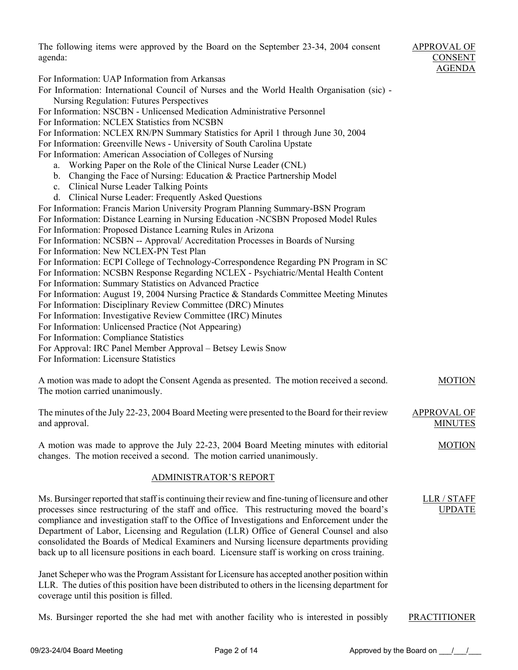The following items were approved by the Board on the September 23-34, 2004 consent agenda: For Information: UAP Information from Arkansas For Information: International Council of Nurses and the World Health Organisation (sic) - Nursing Regulation: Futures Perspectives For Information: NSCBN - Unlicensed Medication Administrative Personnel For Information: NCLEX Statistics from NCSBN For Information: NCLEX RN/PN Summary Statistics for April 1 through June 30, 2004 For Information: Greenville News - University of South Carolina Upstate For Information: American Association of Colleges of Nursing a. Working Paper on the Role of the Clinical Nurse Leader (CNL) b. Changing the Face of Nursing: Education & Practice Partnership Model c. Clinical Nurse Leader Talking Points d. Clinical Nurse Leader: Frequently Asked Questions For Information: Francis Marion University Program Planning Summary-BSN Program For Information: Distance Learning in Nursing Education -NCSBN Proposed Model Rules For Information: Proposed Distance Learning Rules in Arizona For Information: NCSBN -- Approval/ Accreditation Processes in Boards of Nursing For Information: New NCLEX-PN Test Plan For Information: ECPI College of Technology-Correspondence Regarding PN Program in SC For Information: NCSBN Response Regarding NCLEX - Psychiatric/Mental Health Content For Information: Summary Statistics on Advanced Practice For Information: August 19, 2004 Nursing Practice & Standards Committee Meeting Minutes For Information: Disciplinary Review Committee (DRC) Minutes For Information: Investigative Review Committee (IRC) Minutes For Information: Unlicensed Practice (Not Appearing) For Information: Compliance Statistics For Approval: IRC Panel Member Approval – Betsey Lewis Snow For Information: Licensure Statistics A motion was made to adopt the Consent Agenda as presented. The motion received a second. The motion carried unanimously. APPROVAL OF CONSENT AGENDA MOTION The minutes of the July 22-23, 2004 Board Meeting were presented to the Board for their review and approval. A motion was made to approve the July 22-23, 2004 Board Meeting minutes with editorial changes. The motion received a second. The motion carried unanimously. APPROVAL OF MINUTES MOTION ADMINISTRATOR'S REPORT Ms. Bursinger reported that staff is continuing their review and fine-tuning of licensure and other processes since restructuring of the staff and office. This restructuring moved the board's compliance and investigation staff to the Office of Investigations and Enforcement under the Department of Labor, Licensing and Regulation (LLR) Office of General Counsel and also consolidated the Boards of Medical Examiners and Nursing licensure departments providing back up to all licensure positions in each board. Licensure staff is working on cross training. LLR / STAFF UPDATE

Janet Scheper who was the Program Assistant for Licensure has accepted another position within LLR. The duties of this position have been distributed to others in the licensing department for coverage until this position is filled.

Ms. Bursinger reported the she had met with another facility who is interested in possibly PRACTITIONER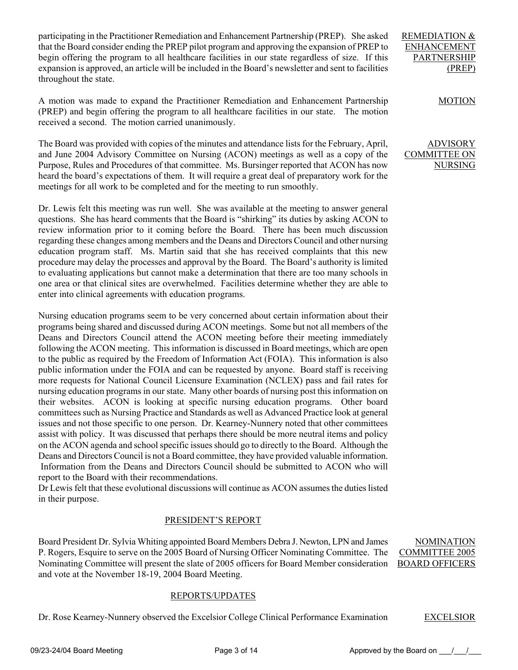participating in the Practitioner Remediation and Enhancement Partnership (PREP). She asked that the Board consider ending the PREP pilot program and approving the expansion of PREP to begin offering the program to all healthcare facilities in our state regardless of size. If this expansion is approved, an article will be included in the Board's newsletter and sent to facilities throughout the state.

A motion was made to expand the Practitioner Remediation and Enhancement Partnership (PREP) and begin offering the program to all healthcare facilities in our state. The motion received a second. The motion carried unanimously.

The Board was provided with copies of the minutes and attendance lists for the February, April, and June 2004 Advisory Committee on Nursing (ACON) meetings as well as a copy of the Purpose, Rules and Procedures of that committee. Ms. Bursinger reported that ACON has now heard the board's expectations of them. It will require a great deal of preparatory work for the meetings for all work to be completed and for the meeting to run smoothly.

Dr. Lewis felt this meeting was run well. She was available at the meeting to answer general questions. She has heard comments that the Board is "shirking" its duties by asking ACON to review information prior to it coming before the Board. There has been much discussion regarding these changes among members and the Deans and Directors Council and other nursing education program staff. Ms. Martin said that she has received complaints that this new procedure may delay the processes and approval by the Board. The Board's authority is limited to evaluating applications but cannot make a determination that there are too many schools in one area or that clinical sites are overwhelmed. Facilities determine whether they are able to enter into clinical agreements with education programs.

Nursing education programs seem to be very concerned about certain information about their programs being shared and discussed during ACON meetings. Some but not all members of the Deans and Directors Council attend the ACON meeting before their meeting immediately following the ACON meeting. This information is discussed in Board meetings, which are open to the public as required by the Freedom of Information Act (FOIA). This information is also public information under the FOIA and can be requested by anyone. Board staff is receiving more requests for National Council Licensure Examination (NCLEX) pass and fail rates for nursing education programs in our state. Many other boards of nursing post this information on their websites. ACON is looking at specific nursing education programs. Other board committees such as Nursing Practice and Standards as well as Advanced Practice look at general issues and not those specific to one person. Dr. Kearney-Nunnery noted that other committees assist with policy. It was discussed that perhaps there should be more neutral items and policy on the ACON agenda and school specific issues should go to directly to the Board. Although the Deans and Directors Council is not a Board committee, they have provided valuable information. Information from the Deans and Directors Council should be submitted to ACON who will report to the Board with their recommendations.

Dr Lewis felt that these evolutional discussions will continue as ACON assumes the duties listed in their purpose.

# PRESIDENT'S REPORT

Board President Dr. Sylvia Whiting appointed Board Members Debra J. Newton, LPN and James P. Rogers, Esquire to serve on the 2005 Board of Nursing Officer Nominating Committee. The Nominating Committee will present the slate of 2005 officers for Board Member consideration and vote at the November 18-19, 2004 Board Meeting. COMMITTEE 2005 BOARD OFFICERS

# REPORTS/UPDATES

Dr. Rose Kearney-Nunnery observed the Excelsior College Clinical Performance Examination EXCELSIOR

NOMINATION

REMEDIATION & ENHANCEMENT PARTNERSHIP (PREP)

# MOTION

ADVISORY COMMITTEE ON NURSING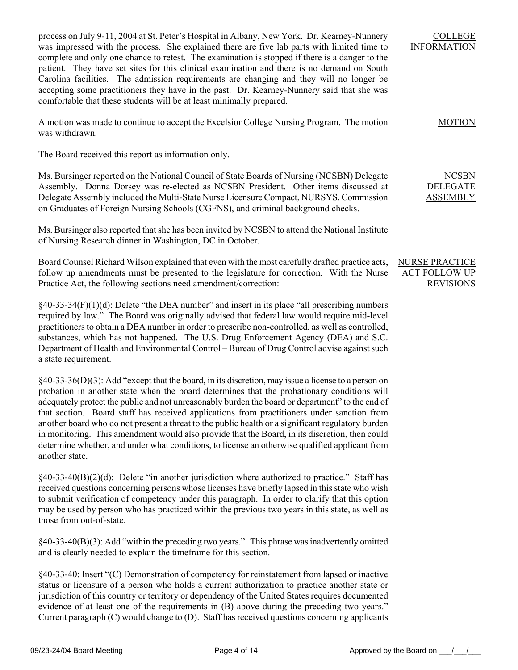process on July 9-11, 2004 at St. Peter's Hospital in Albany, New York. Dr. Kearney-Nunnery was impressed with the process. She explained there are five lab parts with limited time to complete and only one chance to retest. The examination is stopped if there is a danger to the patient. They have set sites for this clinical examination and there is no demand on South Carolina facilities. The admission requirements are changing and they will no longer be accepting some practitioners they have in the past. Dr. Kearney-Nunnery said that she was comfortable that these students will be at least minimally prepared.

A motion was made to continue to accept the Excelsior College Nursing Program. The motion was withdrawn.

The Board received this report as information only.

Ms. Bursinger reported on the National Council of State Boards of Nursing (NCSBN) Delegate Assembly. Donna Dorsey was re-elected as NCSBN President. Other items discussed at Delegate Assembly included the Multi-State Nurse Licensure Compact, NURSYS, Commission on Graduates of Foreign Nursing Schools (CGFNS), and criminal background checks.

Ms. Bursinger also reported that she has been invited by NCSBN to attend the National Institute of Nursing Research dinner in Washington, DC in October.

Board Counsel Richard Wilson explained that even with the most carefully drafted practice acts, follow up amendments must be presented to the legislature for correction. With the Nurse Practice Act, the following sections need amendment/correction:

 $§40-33-34(F)(1)(d)$ : Delete "the DEA number" and insert in its place "all prescribing numbers" required by law." The Board was originally advised that federal law would require mid-level practitioners to obtain a DEA number in order to prescribe non-controlled, as well as controlled, substances, which has not happened. The U.S. Drug Enforcement Agency (DEA) and S.C. Department of Health and Environmental Control – Bureau of Drug Control advise against such a state requirement.

§40-33-36(D)(3): Add "except that the board, in its discretion, may issue a license to a person on probation in another state when the board determines that the probationary conditions will adequately protect the public and not unreasonably burden the board or department" to the end of that section. Board staff has received applications from practitioners under sanction from another board who do not present a threat to the public health or a significant regulatory burden in monitoring. This amendment would also provide that the Board, in its discretion, then could determine whether, and under what conditions, to license an otherwise qualified applicant from another state.

 $§40-33-40(B)(2)(d)$ : Delete "in another jurisdiction where authorized to practice." Staff has received questions concerning persons whose licenses have briefly lapsed in this state who wish to submit verification of competency under this paragraph. In order to clarify that this option may be used by person who has practiced within the previous two years in this state, as well as those from out-of-state.

§40-33-40(B)(3): Add "within the preceding two years." This phrase was inadvertently omitted and is clearly needed to explain the timeframe for this section.

§40-33-40: Insert "(C) Demonstration of competency for reinstatement from lapsed or inactive status or licensure of a person who holds a current authorization to practice another state or jurisdiction of this country or territory or dependency of the United States requires documented evidence of at least one of the requirements in (B) above during the preceding two years." Current paragraph (C) would change to (D). Staff has received questions concerning applicants

NCSBN DELEGATE **ASSEMBLY** 

COLLEGE INFORMATION

MOTION

NURSE PRACTICE ACT FOLLOW UP **REVISIONS**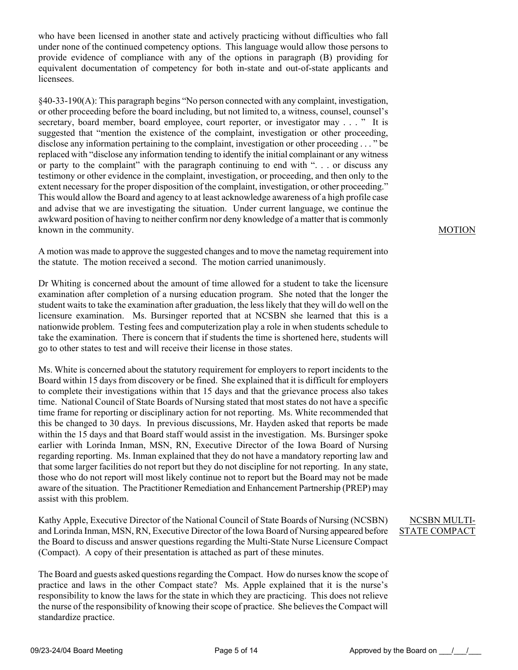who have been licensed in another state and actively practicing without difficulties who fall under none of the continued competency options. This language would allow those persons to provide evidence of compliance with any of the options in paragraph (B) providing for equivalent documentation of competency for both in-state and out-of-state applicants and licensees.

§40-33-190(A): This paragraph begins "No person connected with any complaint, investigation, or other proceeding before the board including, but not limited to, a witness, counsel, counsel's secretary, board member, board employee, court reporter, or investigator may . . . " It is suggested that "mention the existence of the complaint, investigation or other proceeding, disclose any information pertaining to the complaint, investigation or other proceeding . . . " be replaced with "disclose any information tending to identify the initial complainant or any witness or party to the complaint" with the paragraph continuing to end with ". . . or discuss any testimony or other evidence in the complaint, investigation, or proceeding, and then only to the extent necessary for the proper disposition of the complaint, investigation, or other proceeding." This would allow the Board and agency to at least acknowledge awareness of a high profile case and advise that we are investigating the situation. Under current language, we continue the awkward position of having to neither confirm nor deny knowledge of a matter that is commonly known in the community.

A motion was made to approve the suggested changes and to move the nametag requirement into the statute. The motion received a second. The motion carried unanimously.

Dr Whiting is concerned about the amount of time allowed for a student to take the licensure examination after completion of a nursing education program. She noted that the longer the student waits to take the examination after graduation, the less likely that they will do well on the licensure examination. Ms. Bursinger reported that at NCSBN she learned that this is a nationwide problem. Testing fees and computerization play a role in when students schedule to take the examination. There is concern that if students the time is shortened here, students will go to other states to test and will receive their license in those states.

Ms. White is concerned about the statutory requirement for employers to report incidents to the Board within 15 days from discovery or be fined. She explained that it is difficult for employers to complete their investigations within that 15 days and that the grievance process also takes time. National Council of State Boards of Nursing stated that most states do not have a specific time frame for reporting or disciplinary action for not reporting. Ms. White recommended that this be changed to 30 days. In previous discussions, Mr. Hayden asked that reports be made within the 15 days and that Board staff would assist in the investigation. Ms. Bursinger spoke earlier with Lorinda Inman, MSN, RN, Executive Director of the Iowa Board of Nursing regarding reporting. Ms. Inman explained that they do not have a mandatory reporting law and that some larger facilities do not report but they do not discipline for not reporting. In any state, those who do not report will most likely continue not to report but the Board may not be made aware of the situation. The Practitioner Remediation and Enhancement Partnership (PREP) may assist with this problem.

Kathy Apple, Executive Director of the National Council of State Boards of Nursing (NCSBN) and Lorinda Inman, MSN, RN, Executive Director of the Iowa Board of Nursing appeared before the Board to discuss and answer questions regarding the Multi-State Nurse Licensure Compact (Compact). A copy of their presentation is attached as part of these minutes.

The Board and guests asked questions regarding the Compact. How do nurses know the scope of practice and laws in the other Compact state? Ms. Apple explained that it is the nurse's responsibility to know the laws for the state in which they are practicing. This does not relieve the nurse of the responsibility of knowing their scope of practice. She believes the Compact will standardize practice.

# MOTION

# NCSBN MULTI-STATE COMPACT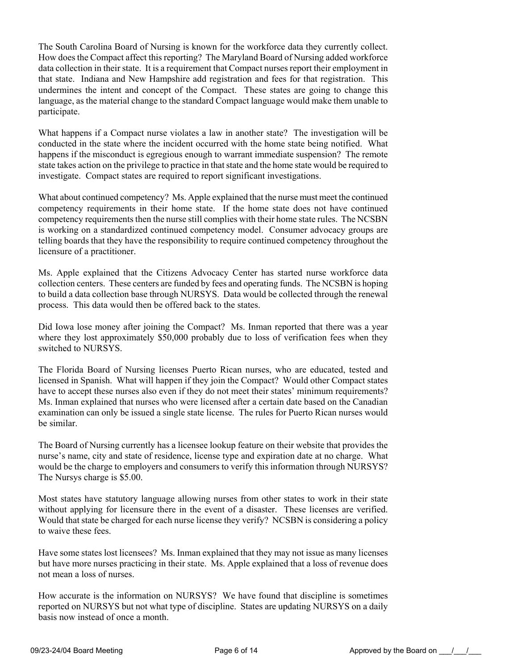The South Carolina Board of Nursing is known for the workforce data they currently collect. How does the Compact affect this reporting? The Maryland Board of Nursing added workforce data collection in their state. It is a requirement that Compact nurses report their employment in that state. Indiana and New Hampshire add registration and fees for that registration. This undermines the intent and concept of the Compact. These states are going to change this language, as the material change to the standard Compact language would make them unable to participate.

What happens if a Compact nurse violates a law in another state? The investigation will be conducted in the state where the incident occurred with the home state being notified. What happens if the misconduct is egregious enough to warrant immediate suspension? The remote state takes action on the privilege to practice in that state and the home state would be required to investigate. Compact states are required to report significant investigations.

What about continued competency? Ms. Apple explained that the nurse must meet the continued competency requirements in their home state. If the home state does not have continued competency requirements then the nurse still complies with their home state rules. The NCSBN is working on a standardized continued competency model. Consumer advocacy groups are telling boards that they have the responsibility to require continued competency throughout the licensure of a practitioner.

Ms. Apple explained that the Citizens Advocacy Center has started nurse workforce data collection centers. These centers are funded by fees and operating funds. The NCSBN is hoping to build a data collection base through NURSYS. Data would be collected through the renewal process. This data would then be offered back to the states.

Did Iowa lose money after joining the Compact? Ms. Inman reported that there was a year where they lost approximately \$50,000 probably due to loss of verification fees when they switched to NURSYS.

The Florida Board of Nursing licenses Puerto Rican nurses, who are educated, tested and licensed in Spanish. What will happen if they join the Compact? Would other Compact states have to accept these nurses also even if they do not meet their states' minimum requirements? Ms. Inman explained that nurses who were licensed after a certain date based on the Canadian examination can only be issued a single state license. The rules for Puerto Rican nurses would be similar.

The Board of Nursing currently has a licensee lookup feature on their website that provides the nurse's name, city and state of residence, license type and expiration date at no charge. What would be the charge to employers and consumers to verify this information through NURSYS? The Nursys charge is \$5.00.

Most states have statutory language allowing nurses from other states to work in their state without applying for licensure there in the event of a disaster. These licenses are verified. Would that state be charged for each nurse license they verify? NCSBN is considering a policy to waive these fees.

Have some states lost licensees? Ms. Inman explained that they may not issue as many licenses but have more nurses practicing in their state. Ms. Apple explained that a loss of revenue does not mean a loss of nurses.

How accurate is the information on NURSYS? We have found that discipline is sometimes reported on NURSYS but not what type of discipline. States are updating NURSYS on a daily basis now instead of once a month.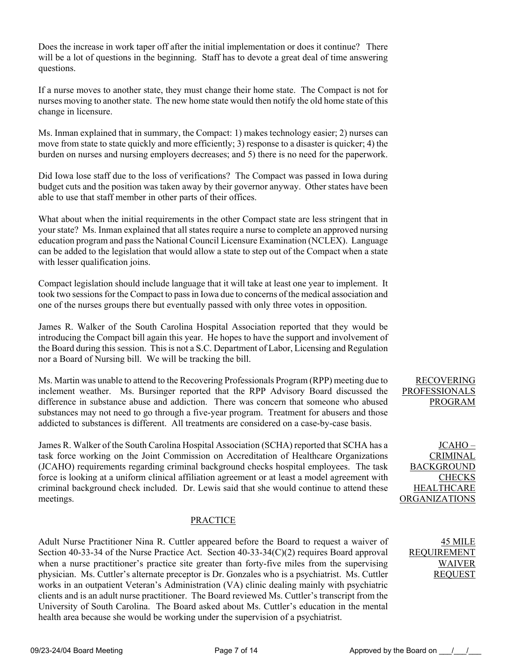Does the increase in work taper off after the initial implementation or does it continue? There will be a lot of questions in the beginning. Staff has to devote a great deal of time answering questions.

If a nurse moves to another state, they must change their home state. The Compact is not for nurses moving to another state. The new home state would then notify the old home state of this change in licensure.

Ms. Inman explained that in summary, the Compact: 1) makes technology easier; 2) nurses can move from state to state quickly and more efficiently; 3) response to a disaster is quicker; 4) the burden on nurses and nursing employers decreases; and 5) there is no need for the paperwork.

Did Iowa lose staff due to the loss of verifications? The Compact was passed in Iowa during budget cuts and the position was taken away by their governor anyway. Other states have been able to use that staff member in other parts of their offices.

What about when the initial requirements in the other Compact state are less stringent that in your state? Ms. Inman explained that all states require a nurse to complete an approved nursing education program and pass the National Council Licensure Examination (NCLEX). Language can be added to the legislation that would allow a state to step out of the Compact when a state with lesser qualification joins.

Compact legislation should include language that it will take at least one year to implement. It took two sessions for the Compact to pass in Iowa due to concerns of the medical association and one of the nurses groups there but eventually passed with only three votes in opposition.

James R. Walker of the South Carolina Hospital Association reported that they would be introducing the Compact bill again this year. He hopes to have the support and involvement of the Board during this session. This is not a S.C. Department of Labor, Licensing and Regulation nor a Board of Nursing bill. We will be tracking the bill.

Ms. Martin was unable to attend to the Recovering Professionals Program (RPP) meeting due to inclement weather. Ms. Bursinger reported that the RPP Advisory Board discussed the difference in substance abuse and addiction. There was concern that someone who abused substances may not need to go through a five-year program. Treatment for abusers and those addicted to substances is different. All treatments are considered on a case-by-case basis.

James R. Walker of the South Carolina Hospital Association (SCHA) reported that SCHA has a task force working on the Joint Commission on Accreditation of Healthcare Organizations (JCAHO) requirements regarding criminal background checks hospital employees. The task force is looking at a uniform clinical affiliation agreement or at least a model agreement with criminal background check included. Dr. Lewis said that she would continue to attend these meetings.

# PRACTICE

Adult Nurse Practitioner Nina R. Cuttler appeared before the Board to request a waiver of Section 40-33-34 of the Nurse Practice Act. Section 40-33-34(C)(2) requires Board approval when a nurse practitioner's practice site greater than forty-five miles from the supervising physician. Ms. Cuttler's alternate preceptor is Dr. Gonzales who is a psychiatrist. Ms. Cuttler works in an outpatient Veteran's Administration (VA) clinic dealing mainly with psychiatric clients and is an adult nurse practitioner. The Board reviewed Ms. Cuttler's transcript from the University of South Carolina. The Board asked about Ms. Cuttler's education in the mental health area because she would be working under the supervision of a psychiatrist.

# RECOVERING PROFESSIONALS PROGRAM

JCAHO – **CRIMINAL** BACKGROUND **CHECKS HEALTHCARE** ORGANIZATIONS

> 45 MILE REQUIREMENT WAIVER REQUEST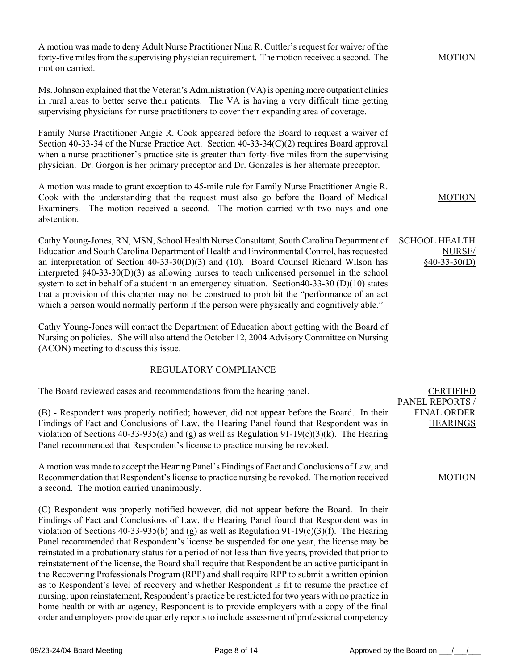A motion was made to deny Adult Nurse Practitioner Nina R. Cuttler's request for waiver of the forty-five miles from the supervising physician requirement. The motion received a second. The motion carried.

Ms. Johnson explained that the Veteran's Administration (VA) is opening more outpatient clinics in rural areas to better serve their patients. The VA is having a very difficult time getting supervising physicians for nurse practitioners to cover their expanding area of coverage.

Family Nurse Practitioner Angie R. Cook appeared before the Board to request a waiver of Section 40-33-34 of the Nurse Practice Act. Section 40-33-34(C)(2) requires Board approval when a nurse practitioner's practice site is greater than forty-five miles from the supervising physician. Dr. Gorgon is her primary preceptor and Dr. Gonzales is her alternate preceptor.

A motion was made to grant exception to 45-mile rule for Family Nurse Practitioner Angie R. Cook with the understanding that the request must also go before the Board of Medical Examiners. The motion received a second. The motion carried with two nays and one abstention.

Cathy Young-Jones, RN, MSN, School Health Nurse Consultant, South Carolina Department of Education and South Carolina Department of Health and Environmental Control, has requested an interpretation of Section 40-33-30(D)(3) and (10). Board Counsel Richard Wilson has interpreted §40-33-30(D)(3) as allowing nurses to teach unlicensed personnel in the school system to act in behalf of a student in an emergency situation. Section40-33-30 (D)(10) states that a provision of this chapter may not be construed to prohibit the "performance of an act which a person would normally perform if the person were physically and cognitively able."

Cathy Young-Jones will contact the Department of Education about getting with the Board of Nursing on policies. She will also attend the October 12, 2004 Advisory Committee on Nursing (ACON) meeting to discuss this issue.

# REGULATORY COMPLIANCE

The Board reviewed cases and recommendations from the hearing panel.

(B) - Respondent was properly notified; however, did not appear before the Board. In their Findings of Fact and Conclusions of Law, the Hearing Panel found that Respondent was in violation of Sections 40-33-935(a) and (g) as well as Regulation 91-19(c)(3)(k). The Hearing Panel recommended that Respondent's license to practice nursing be revoked.

A motion was made to accept the Hearing Panel's Findings of Fact and Conclusions of Law, and Recommendation that Respondent's license to practice nursing be revoked. The motion received a second. The motion carried unanimously.

(C) Respondent was properly notified however, did not appear before the Board. In their Findings of Fact and Conclusions of Law, the Hearing Panel found that Respondent was in violation of Sections 40-33-935(b) and (g) as well as Regulation 91-19(c)(3)(f). The Hearing Panel recommended that Respondent's license be suspended for one year, the license may be reinstated in a probationary status for a period of not less than five years, provided that prior to reinstatement of the license, the Board shall require that Respondent be an active participant in the Recovering Professionals Program (RPP) and shall require RPP to submit a written opinion as to Respondent's level of recovery and whether Respondent is fit to resume the practice of nursing; upon reinstatement, Respondent's practice be restricted for two years with no practice in home health or with an agency, Respondent is to provide employers with a copy of the final order and employers provide quarterly reports to include assessment of professional competency

# MOTION

MOTION

# SCHOOL HEALTH NURSE/ §40-33-30(D)

# MOTION

CERTIFIED

PANEL REPORTS / FINAL ORDER **HEARINGS**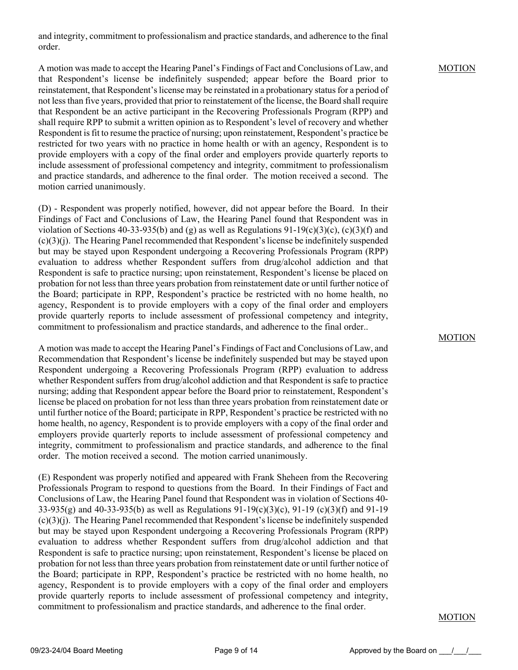and integrity, commitment to professionalism and practice standards, and adherence to the final order.

# A motion was made to accept the Hearing Panel's Findings of Fact and Conclusions of Law, and that Respondent's license be indefinitely suspended; appear before the Board prior to reinstatement, that Respondent's license may be reinstated in a probationary status for a period of not less than five years, provided that prior to reinstatement of the license, the Board shall require that Respondent be an active participant in the Recovering Professionals Program (RPP) and shall require RPP to submit a written opinion as to Respondent's level of recovery and whether Respondent is fit to resume the practice of nursing; upon reinstatement, Respondent's practice be restricted for two years with no practice in home health or with an agency, Respondent is to provide employers with a copy of the final order and employers provide quarterly reports to include assessment of professional competency and integrity, commitment to professionalism and practice standards, and adherence to the final order. The motion received a second. The motion carried unanimously.

(D) - Respondent was properly notified, however, did not appear before the Board. In their Findings of Fact and Conclusions of Law, the Hearing Panel found that Respondent was in violation of Sections 40-33-935(b) and (g) as well as Regulations  $91-19(c)(3)(c)$ , (c)(3)(f) and (c)(3)(j). The Hearing Panel recommended that Respondent's license be indefinitely suspended but may be stayed upon Respondent undergoing a Recovering Professionals Program (RPP) evaluation to address whether Respondent suffers from drug/alcohol addiction and that Respondent is safe to practice nursing; upon reinstatement, Respondent's license be placed on probation for not less than three years probation from reinstatement date or until further notice of the Board; participate in RPP, Respondent's practice be restricted with no home health, no agency, Respondent is to provide employers with a copy of the final order and employers provide quarterly reports to include assessment of professional competency and integrity, commitment to professionalism and practice standards, and adherence to the final order..

A motion was made to accept the Hearing Panel's Findings of Fact and Conclusions of Law, and Recommendation that Respondent's license be indefinitely suspended but may be stayed upon Respondent undergoing a Recovering Professionals Program (RPP) evaluation to address whether Respondent suffers from drug/alcohol addiction and that Respondent is safe to practice nursing; adding that Respondent appear before the Board prior to reinstatement, Respondent's license be placed on probation for not less than three years probation from reinstatement date or until further notice of the Board; participate in RPP, Respondent's practice be restricted with no home health, no agency, Respondent is to provide employers with a copy of the final order and employers provide quarterly reports to include assessment of professional competency and integrity, commitment to professionalism and practice standards, and adherence to the final order. The motion received a second. The motion carried unanimously.

(E) Respondent was properly notified and appeared with Frank Sheheen from the Recovering Professionals Program to respond to questions from the Board. In their Findings of Fact and Conclusions of Law, the Hearing Panel found that Respondent was in violation of Sections 40- 33-935(g) and 40-33-935(b) as well as Regulations 91-19(c)(3)(c), 91-19 (c)(3)(f) and 91-19 (c)(3)(j). The Hearing Panel recommended that Respondent's license be indefinitely suspended but may be stayed upon Respondent undergoing a Recovering Professionals Program (RPP) evaluation to address whether Respondent suffers from drug/alcohol addiction and that Respondent is safe to practice nursing; upon reinstatement, Respondent's license be placed on probation for not less than three years probation from reinstatement date or until further notice of the Board; participate in RPP, Respondent's practice be restricted with no home health, no agency, Respondent is to provide employers with a copy of the final order and employers provide quarterly reports to include assessment of professional competency and integrity, commitment to professionalism and practice standards, and adherence to the final order.

### MOTION

# MOTION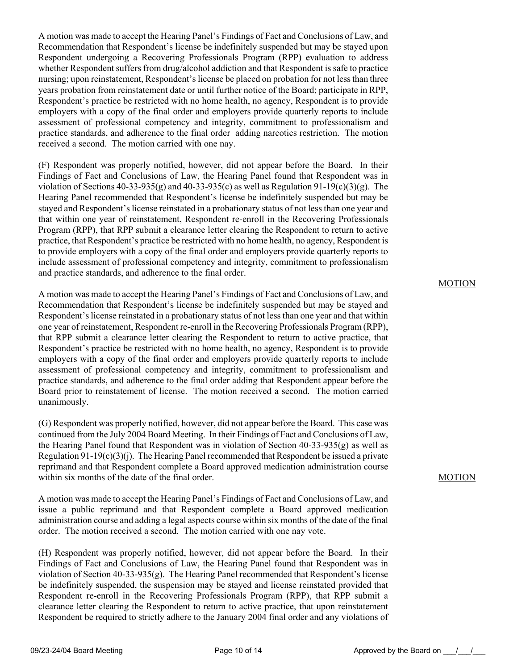A motion was made to accept the Hearing Panel's Findings of Fact and Conclusions of Law, and Recommendation that Respondent's license be indefinitely suspended but may be stayed upon Respondent undergoing a Recovering Professionals Program (RPP) evaluation to address whether Respondent suffers from drug/alcohol addiction and that Respondent is safe to practice nursing; upon reinstatement, Respondent's license be placed on probation for not less than three years probation from reinstatement date or until further notice of the Board; participate in RPP, Respondent's practice be restricted with no home health, no agency, Respondent is to provide employers with a copy of the final order and employers provide quarterly reports to include assessment of professional competency and integrity, commitment to professionalism and practice standards, and adherence to the final order adding narcotics restriction. The motion received a second. The motion carried with one nay.

(F) Respondent was properly notified, however, did not appear before the Board. In their Findings of Fact and Conclusions of Law, the Hearing Panel found that Respondent was in violation of Sections  $40-33-935(g)$  and  $40-33-935(c)$  as well as Regulation  $91-19(c)(3)(g)$ . The Hearing Panel recommended that Respondent's license be indefinitely suspended but may be stayed and Respondent's license reinstated in a probationary status of not less than one year and that within one year of reinstatement, Respondent re-enroll in the Recovering Professionals Program (RPP), that RPP submit a clearance letter clearing the Respondent to return to active practice, that Respondent's practice be restricted with no home health, no agency, Respondent is to provide employers with a copy of the final order and employers provide quarterly reports to include assessment of professional competency and integrity, commitment to professionalism and practice standards, and adherence to the final order.

A motion was made to accept the Hearing Panel's Findings of Fact and Conclusions of Law, and Recommendation that Respondent's license be indefinitely suspended but may be stayed and Respondent's license reinstated in a probationary status of not less than one year and that within one year of reinstatement, Respondent re-enroll in the Recovering Professionals Program (RPP), that RPP submit a clearance letter clearing the Respondent to return to active practice, that Respondent's practice be restricted with no home health, no agency, Respondent is to provide employers with a copy of the final order and employers provide quarterly reports to include assessment of professional competency and integrity, commitment to professionalism and practice standards, and adherence to the final order adding that Respondent appear before the Board prior to reinstatement of license. The motion received a second. The motion carried unanimously.

(G) Respondent was properly notified, however, did not appear before the Board. This case was continued from the July 2004 Board Meeting. In their Findings of Fact and Conclusions of Law, the Hearing Panel found that Respondent was in violation of Section  $40-33-935(g)$  as well as Regulation  $91-19(c)(3)(i)$ . The Hearing Panel recommended that Respondent be issued a private reprimand and that Respondent complete a Board approved medication administration course within six months of the date of the final order.

A motion was made to accept the Hearing Panel's Findings of Fact and Conclusions of Law, and issue a public reprimand and that Respondent complete a Board approved medication administration course and adding a legal aspects course within six months of the date of the final order. The motion received a second. The motion carried with one nay vote.

(H) Respondent was properly notified, however, did not appear before the Board. In their Findings of Fact and Conclusions of Law, the Hearing Panel found that Respondent was in violation of Section 40-33-935(g). The Hearing Panel recommended that Respondent's license be indefinitely suspended, the suspension may be stayed and license reinstated provided that Respondent re-enroll in the Recovering Professionals Program (RPP), that RPP submit a clearance letter clearing the Respondent to return to active practice, that upon reinstatement Respondent be required to strictly adhere to the January 2004 final order and any violations of

# MOTION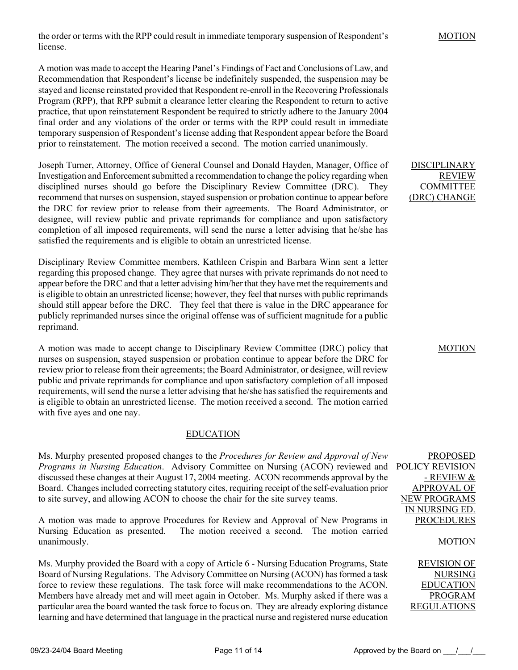the order or terms with the RPP could result in immediate temporary suspension of Respondent's license.

A motion was made to accept the Hearing Panel's Findings of Fact and Conclusions of Law, and Recommendation that Respondent's license be indefinitely suspended, the suspension may be stayed and license reinstated provided that Respondent re-enroll in the Recovering Professionals Program (RPP), that RPP submit a clearance letter clearing the Respondent to return to active practice, that upon reinstatement Respondent be required to strictly adhere to the January 2004 final order and any violations of the order or terms with the RPP could result in immediate temporary suspension of Respondent's license adding that Respondent appear before the Board prior to reinstatement. The motion received a second. The motion carried unanimously.

Joseph Turner, Attorney, Office of General Counsel and Donald Hayden, Manager, Office of Investigation and Enforcement submitted a recommendation to change the policy regarding when disciplined nurses should go before the Disciplinary Review Committee (DRC). They recommend that nurses on suspension, stayed suspension or probation continue to appear before the DRC for review prior to release from their agreements. The Board Administrator, or designee, will review public and private reprimands for compliance and upon satisfactory completion of all imposed requirements, will send the nurse a letter advising that he/she has satisfied the requirements and is eligible to obtain an unrestricted license.

Disciplinary Review Committee members, Kathleen Crispin and Barbara Winn sent a letter regarding this proposed change. They agree that nurses with private reprimands do not need to appear before the DRC and that a letter advising him/her that they have met the requirements and is eligible to obtain an unrestricted license; however, they feel that nurses with public reprimands should still appear before the DRC. They feel that there is value in the DRC appearance for publicly reprimanded nurses since the original offense was of sufficient magnitude for a public reprimand.

A motion was made to accept change to Disciplinary Review Committee (DRC) policy that nurses on suspension, stayed suspension or probation continue to appear before the DRC for review prior to release from their agreements; the Board Administrator, or designee, will review public and private reprimands for compliance and upon satisfactory completion of all imposed requirements, will send the nurse a letter advising that he/she has satisfied the requirements and is eligible to obtain an unrestricted license. The motion received a second. The motion carried with five ayes and one nay.

# EDUCATION

Ms. Murphy presented proposed changes to the *Procedures for Review and Approval of New Programs in Nursing Education*. Advisory Committee on Nursing (ACON) reviewed and discussed these changes at their August 17, 2004 meeting. ACON recommends approval by the Board. Changes included correcting statutory cites, requiring receipt of the self-evaluation prior to site survey, and allowing ACON to choose the chair for the site survey teams.

A motion was made to approve Procedures for Review and Approval of New Programs in Nursing Education as presented. The motion received a second. The motion carried unanimously.

Ms. Murphy provided the Board with a copy of Article 6 - Nursing Education Programs, State Board of Nursing Regulations. The Advisory Committee on Nursing (ACON) has formed a task force to review these regulations. The task force will make recommendations to the ACON. Members have already met and will meet again in October. Ms. Murphy asked if there was a particular area the board wanted the task force to focus on. They are already exploring distance learning and have determined that language in the practical nurse and registered nurse education

DISCIPLINARY REVIEW COMMITTEE (DRC) CHANGE

MOTION

PROPOSED POLICY REVISION - REVIEW & APPROVAL OF NEW PROGRAMS IN NURSING ED. **PROCEDURES** 

# MOTION

REVISION OF NURSING EDUCATION PROGRAM REGULATIONS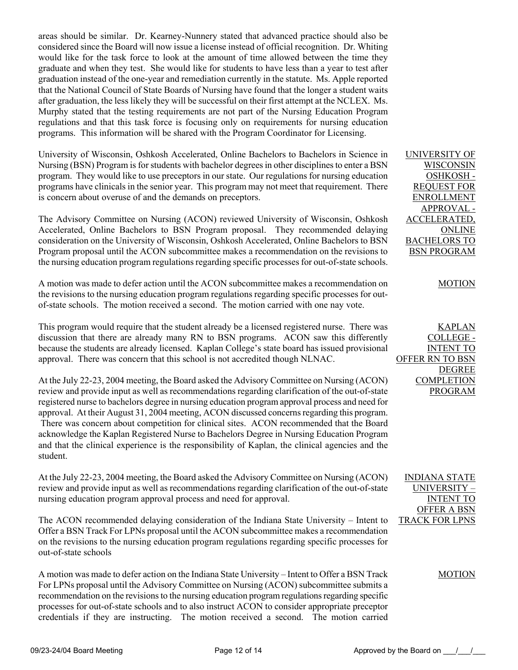areas should be similar. Dr. Kearney-Nunnery stated that advanced practice should also be considered since the Board will now issue a license instead of official recognition. Dr. Whiting would like for the task force to look at the amount of time allowed between the time they graduate and when they test. She would like for students to have less than a year to test after graduation instead of the one-year and remediation currently in the statute. Ms. Apple reported that the National Council of State Boards of Nursing have found that the longer a student waits after graduation, the less likely they will be successful on their first attempt at the NCLEX. Ms. Murphy stated that the testing requirements are not part of the Nursing Education Program regulations and that this task force is focusing only on requirements for nursing education programs. This information will be shared with the Program Coordinator for Licensing.

University of Wisconsin, Oshkosh Accelerated, Online Bachelors to Bachelors in Science in Nursing (BSN) Program is for students with bachelor degrees in other disciplines to enter a BSN program. They would like to use preceptors in our state. Our regulations for nursing education programs have clinicals in the senior year. This program may not meet that requirement. There is concern about overuse of and the demands on preceptors.

The Advisory Committee on Nursing (ACON) reviewed University of Wisconsin, Oshkosh Accelerated, Online Bachelors to BSN Program proposal. They recommended delaying consideration on the University of Wisconsin, Oshkosh Accelerated, Online Bachelors to BSN Program proposal until the ACON subcommittee makes a recommendation on the revisions to the nursing education program regulations regarding specific processes for out-of-state schools.

A motion was made to defer action until the ACON subcommittee makes a recommendation on the revisions to the nursing education program regulations regarding specific processes for outof-state schools. The motion received a second. The motion carried with one nay vote.

This program would require that the student already be a licensed registered nurse. There was discussion that there are already many RN to BSN programs. ACON saw this differently because the students are already licensed. Kaplan College's state board has issued provisional approval. There was concern that this school is not accredited though NLNAC.

At the July 22-23, 2004 meeting, the Board asked the Advisory Committee on Nursing (ACON) review and provide input as well as recommendations regarding clarification of the out-of-state registered nurse to bachelors degree in nursing education program approval process and need for approval. At their August 31, 2004 meeting, ACON discussed concerns regarding this program. There was concern about competition for clinical sites. ACON recommended that the Board acknowledge the Kaplan Registered Nurse to Bachelors Degree in Nursing Education Program and that the clinical experience is the responsibility of Kaplan, the clinical agencies and the student.

At the July 22-23, 2004 meeting, the Board asked the Advisory Committee on Nursing (ACON) review and provide input as well as recommendations regarding clarification of the out-of-state nursing education program approval process and need for approval.

The ACON recommended delaying consideration of the Indiana State University – Intent to Offer a BSN Track For LPNs proposal until the ACON subcommittee makes a recommendation on the revisions to the nursing education program regulations regarding specific processes for out-of-state schools

A motion was made to defer action on the Indiana State University – Intent to Offer a BSN Track For LPNs proposal until the Advisory Committee on Nursing (ACON) subcommittee submits a recommendation on the revisions to the nursing education program regulations regarding specific processes for out-of-state schools and to also instruct ACON to consider appropriate preceptor credentials if they are instructing. The motion received a second. The motion carried UNIVERSITY OF WISCONSIN OSHKOSH - REQUEST FOR ENROLLMENT APPROVAL - ACCELERATED, ONLINE BACHELORS TO BSN PROGRAM

# **MOTION**

KAPLAN COLLEGE - INTENT TO OFFER RN TO BSN DEGREE COMPLETION PROGRAM

INDIANA STATE UNIVERSITY – INTENT TO OFFER A BSN TRACK FOR LPNS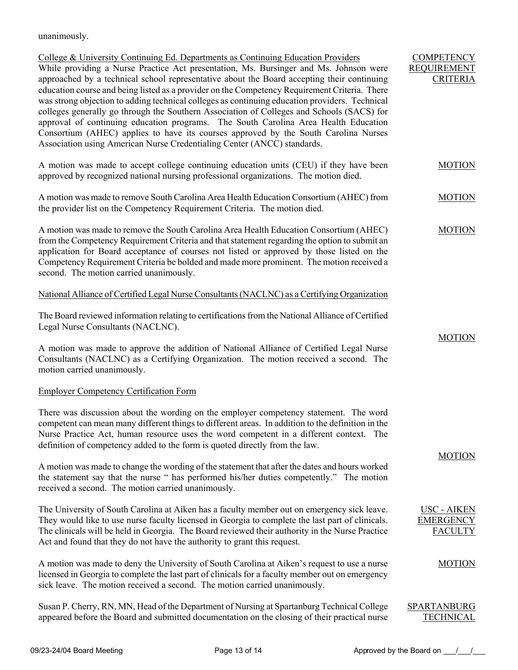unanimously.

| College & University Continuing Ed. Departments as Continuing Education Providers<br>While providing a Nurse Practice Act presentation, Ms. Bursinger and Ms. Johnson were<br>approached by a technical school representative about the Board accepting their continuing<br>education course and being listed as a provider on the Competency Requirement Criteria. There<br>was strong objection to adding technical colleges as continuing education providers. Technical<br>colleges generally go through the Southern Association of Colleges and Schools (SACS) for<br>approval of continuing education programs. The South Carolina Area Health Education<br>Consortium (AHEC) applies to have its courses approved by the South Carolina Nurses<br>Association using American Nurse Credentialing Center (ANCC) standards. | <b>COMPETENCY</b><br><b>REQUIREMENT</b><br><b>CRITERIA</b> |
|-----------------------------------------------------------------------------------------------------------------------------------------------------------------------------------------------------------------------------------------------------------------------------------------------------------------------------------------------------------------------------------------------------------------------------------------------------------------------------------------------------------------------------------------------------------------------------------------------------------------------------------------------------------------------------------------------------------------------------------------------------------------------------------------------------------------------------------|------------------------------------------------------------|
| A motion was made to accept college continuing education units (CEU) if they have been<br>approved by recognized national nursing professional organizations. The motion died.                                                                                                                                                                                                                                                                                                                                                                                                                                                                                                                                                                                                                                                    | <b>MOTION</b>                                              |
| A motion was made to remove South Carolina Area Health Education Consortium (AHEC) from<br>the provider list on the Competency Requirement Criteria. The motion died.                                                                                                                                                                                                                                                                                                                                                                                                                                                                                                                                                                                                                                                             | <b>MOTION</b>                                              |
| A motion was made to remove the South Carolina Area Health Education Consortium (AHEC)<br>from the Competency Requirement Criteria and that statement regarding the option to submit an<br>application for Board acceptance of courses not listed or approved by those listed on the<br>Competency Requirement Criteria be bolded and made more prominent. The motion received a<br>second. The motion carried unanimously.                                                                                                                                                                                                                                                                                                                                                                                                       | <b>MOTION</b>                                              |
| National Alliance of Certified Legal Nurse Consultants (NACLNC) as a Certifying Organization                                                                                                                                                                                                                                                                                                                                                                                                                                                                                                                                                                                                                                                                                                                                      |                                                            |
| The Board reviewed information relating to certifications from the National Alliance of Certified<br>Legal Nurse Consultants (NACLNC).                                                                                                                                                                                                                                                                                                                                                                                                                                                                                                                                                                                                                                                                                            | <b>MOTION</b>                                              |
| A motion was made to approve the addition of National Alliance of Certified Legal Nurse<br>Consultants (NACLNC) as a Certifying Organization. The motion received a second. The<br>motion carried unanimously.                                                                                                                                                                                                                                                                                                                                                                                                                                                                                                                                                                                                                    |                                                            |
| <b>Employer Competency Certification Form</b>                                                                                                                                                                                                                                                                                                                                                                                                                                                                                                                                                                                                                                                                                                                                                                                     |                                                            |
| There was discussion about the wording on the employer competency statement. The word<br>competent can mean many different things to different areas. In addition to the definition in the<br>Nurse Practice Act, human resource uses the word competent in a different context. The<br>definition of competency added to the form is quoted directly from the law.                                                                                                                                                                                                                                                                                                                                                                                                                                                               |                                                            |
| A motion was made to change the wording of the statement that after the dates and hours worked<br>the statement say that the nurse " has performed his/her duties competently." The motion<br>received a second. The motion carried unanimously.                                                                                                                                                                                                                                                                                                                                                                                                                                                                                                                                                                                  | <b>MOTION</b>                                              |
| The University of South Carolina at Aiken has a faculty member out on emergency sick leave.<br>They would like to use nurse faculty licensed in Georgia to complete the last part of clinicals.<br>The clinicals will be held in Georgia. The Board reviewed their authority in the Nurse Practice<br>Act and found that they do not have the authority to grant this request.                                                                                                                                                                                                                                                                                                                                                                                                                                                    | <b>USC - AIKEN</b><br><b>EMERGENCY</b><br><b>FACULTY</b>   |
| A motion was made to deny the University of South Carolina at Aiken's request to use a nurse<br>licensed in Georgia to complete the last part of clinicals for a faculty member out on emergency<br>sick leave. The motion received a second. The motion carried unanimously.                                                                                                                                                                                                                                                                                                                                                                                                                                                                                                                                                     | <b>MOTION</b>                                              |
| Susan P. Cherry, RN, MN, Head of the Department of Nursing at Spartanburg Technical College<br>appeared before the Board and submitted documentation on the closing of their practical nurse                                                                                                                                                                                                                                                                                                                                                                                                                                                                                                                                                                                                                                      | <b>SPARTANBURG</b><br><b>TECHNICAL</b>                     |